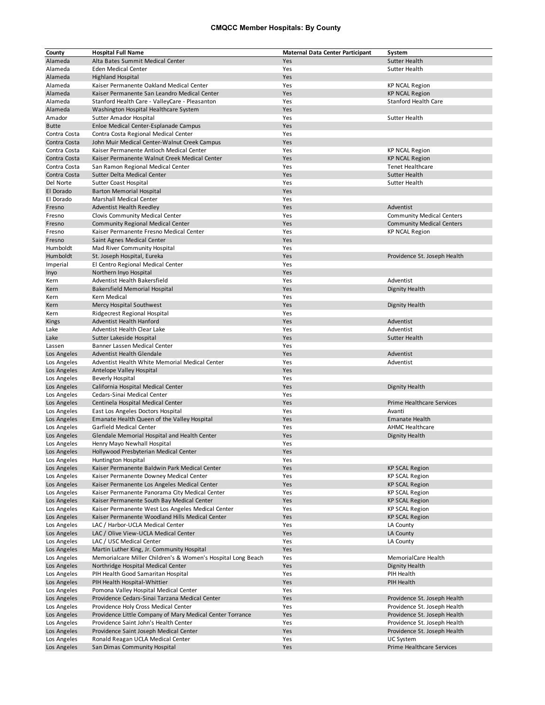## **CMQCC Member Hospitals: By County**

| County                       | <b>Hospital Full Name</b>                                                                            | <b>Maternal Data Center Participant</b> | System                                         |
|------------------------------|------------------------------------------------------------------------------------------------------|-----------------------------------------|------------------------------------------------|
| Alameda                      | Alta Bates Summit Medical Center                                                                     | Yes                                     | <b>Sutter Health</b>                           |
| Alameda                      | <b>Eden Medical Center</b>                                                                           | Yes                                     | Sutter Health                                  |
| Alameda                      | <b>Highland Hospital</b>                                                                             | Yes                                     |                                                |
| Alameda                      | Kaiser Permanente Oakland Medical Center                                                             | Yes                                     | <b>KP NCAL Region</b>                          |
| Alameda                      | Kaiser Permanente San Leandro Medical Center                                                         | Yes                                     | <b>KP NCAL Region</b>                          |
| Alameda                      | Stanford Health Care - ValleyCare - Pleasanton                                                       | Yes                                     | <b>Stanford Health Care</b>                    |
| Alameda                      | Washington Hospital Healthcare System                                                                | Yes                                     |                                                |
| Amador                       | Sutter Amador Hospital                                                                               | Yes                                     | Sutter Health                                  |
| <b>Butte</b>                 | Enloe Medical Center-Esplanade Campus                                                                | Yes                                     |                                                |
| Contra Costa                 | Contra Costa Regional Medical Center                                                                 | Yes                                     |                                                |
| Contra Costa                 | John Muir Medical Center-Walnut Creek Campus                                                         | Yes                                     |                                                |
| Contra Costa<br>Contra Costa | Kaiser Permanente Antioch Medical Center<br>Kaiser Permanente Walnut Creek Medical Center            | Yes<br>Yes                              | <b>KP NCAL Region</b><br><b>KP NCAL Region</b> |
| Contra Costa                 |                                                                                                      | Yes                                     | <b>Tenet Healthcare</b>                        |
| Contra Costa                 | San Ramon Regional Medical Center<br>Sutter Delta Medical Center                                     | Yes                                     | <b>Sutter Health</b>                           |
| Del Norte                    | Sutter Coast Hospital                                                                                | Yes                                     | Sutter Health                                  |
| El Dorado                    | <b>Barton Memorial Hospital</b>                                                                      | Yes                                     |                                                |
| El Dorado                    | Marshall Medical Center                                                                              | Yes                                     |                                                |
| Fresno                       | <b>Adventist Health Reedley</b>                                                                      | Yes                                     | Adventist                                      |
| Fresno                       | Clovis Community Medical Center                                                                      | Yes                                     | <b>Community Medical Centers</b>               |
| Fresno                       | <b>Community Regional Medical Center</b>                                                             | Yes                                     | <b>Community Medical Centers</b>               |
| Fresno                       | Kaiser Permanente Fresno Medical Center                                                              | Yes                                     | <b>KP NCAL Region</b>                          |
| Fresno                       | Saint Agnes Medical Center                                                                           | Yes                                     |                                                |
| Humboldt                     | Mad River Community Hospital                                                                         | Yes                                     |                                                |
| Humboldt                     | St. Joseph Hospital, Eureka                                                                          | Yes                                     | Providence St. Joseph Health                   |
| Imperial                     | El Centro Regional Medical Center                                                                    | Yes                                     |                                                |
| Inyo                         | Northern Inyo Hospital                                                                               | Yes                                     |                                                |
| Kern                         | Adventist Health Bakersfield                                                                         | Yes                                     | Adventist                                      |
| Kern                         | <b>Bakersfield Memorial Hospital</b>                                                                 | Yes                                     | Dignity Health                                 |
| Kern                         | Kern Medical                                                                                         | Yes                                     |                                                |
| Kern                         | Mercy Hospital Southwest                                                                             | Yes                                     | Dignity Health                                 |
| Kern                         | Ridgecrest Regional Hospital                                                                         | Yes                                     |                                                |
| Kings                        | Adventist Health Hanford                                                                             | Yes                                     | Adventist                                      |
| Lake<br>Lake                 | Adventist Health Clear Lake                                                                          | Yes<br>Yes                              | Adventist<br><b>Sutter Health</b>              |
|                              | Sutter Lakeside Hospital<br>Banner Lassen Medical Center                                             | Yes                                     |                                                |
| Lassen<br>Los Angeles        | <b>Adventist Health Glendale</b>                                                                     | Yes                                     | Adventist                                      |
| Los Angeles                  | Adventist Health White Memorial Medical Center                                                       | Yes                                     | Adventist                                      |
| Los Angeles                  | Antelope Valley Hospital                                                                             | Yes                                     |                                                |
| Los Angeles                  | <b>Beverly Hospital</b>                                                                              | Yes                                     |                                                |
| Los Angeles                  | California Hospital Medical Center                                                                   | Yes                                     | <b>Dignity Health</b>                          |
| Los Angeles                  | Cedars-Sinai Medical Center                                                                          | Yes                                     |                                                |
| Los Angeles                  | Centinela Hospital Medical Center                                                                    | Yes                                     | <b>Prime Healthcare Services</b>               |
| Los Angeles                  | East Los Angeles Doctors Hospital                                                                    | Yes                                     | Avanti                                         |
| Los Angeles                  | Emanate Health Queen of the Valley Hospital                                                          | Yes                                     | <b>Emanate Health</b>                          |
| Los Angeles                  | Garfield Medical Center                                                                              | Yes                                     | <b>AHMC Healthcare</b>                         |
| Los Angeles                  | Glendale Memorial Hospital and Health Center                                                         | Yes                                     | Dignity Health                                 |
| Los Angeles                  | Henry Mayo Newhall Hospital                                                                          | Yes                                     |                                                |
| Los Angeles                  | Hollywood Presbyterian Medical Center                                                                | Yes                                     |                                                |
| Los Angeles                  | Huntington Hospital                                                                                  | Yes                                     |                                                |
| Los Angeles                  | Kaiser Permanente Baldwin Park Medical Center                                                        | Yes                                     | <b>KP SCAL Region</b>                          |
| Los Angeles                  | Kaiser Permanente Downey Medical Center                                                              | Yes                                     | <b>KP SCAL Region</b>                          |
| Los Angeles                  | Kaiser Permanente Los Angeles Medical Center                                                         | Yes                                     | <b>KP SCAL Region</b>                          |
| Los Angeles                  | Kaiser Permanente Panorama City Medical Center                                                       | Yes                                     | <b>KP SCAL Region</b>                          |
| Los Angeles                  | Kaiser Permanente South Bay Medical Center                                                           | Yes                                     | <b>KP SCAL Region</b><br><b>KP SCAL Region</b> |
| Los Angeles<br>Los Angeles   | Kaiser Permanente West Los Angeles Medical Center<br>Kaiser Permanente Woodland Hills Medical Center | Yes<br>Yes                              | <b>KP SCAL Region</b>                          |
| Los Angeles                  | LAC / Harbor-UCLA Medical Center                                                                     | Yes                                     | LA County                                      |
| Los Angeles                  | LAC / Olive View-UCLA Medical Center                                                                 | Yes                                     | LA County                                      |
| Los Angeles                  | LAC / USC Medical Center                                                                             | Yes                                     | LA County                                      |
| Los Angeles                  | Martin Luther King, Jr. Community Hospital                                                           | Yes                                     |                                                |
| Los Angeles                  | Memorialcare Miller Children's & Women's Hospital Long Beach                                         | Yes                                     | MemorialCare Health                            |
| Los Angeles                  | Northridge Hospital Medical Center                                                                   | Yes                                     | <b>Dignity Health</b>                          |
| Los Angeles                  | PIH Health Good Samaritan Hospital                                                                   | Yes                                     | PIH Health                                     |
| Los Angeles                  | PIH Health Hospital-Whittier                                                                         | Yes                                     | PIH Health                                     |
| Los Angeles                  | Pomona Valley Hospital Medical Center                                                                | Yes                                     |                                                |
| Los Angeles                  | Providence Cedars-Sinai Tarzana Medical Center                                                       | Yes                                     | Providence St. Joseph Health                   |
| Los Angeles                  | Providence Holy Cross Medical Center                                                                 | Yes                                     | Providence St. Joseph Health                   |
| Los Angeles                  | Providence Little Company of Mary Medical Center Torrance                                            | Yes                                     | Providence St. Joseph Health                   |
| Los Angeles                  | Providence Saint John's Health Center                                                                | Yes                                     | Providence St. Joseph Health                   |
| Los Angeles                  | Providence Saint Joseph Medical Center                                                               | Yes                                     | Providence St. Joseph Health                   |
| Los Angeles                  | Ronald Reagan UCLA Medical Center                                                                    | Yes                                     | UC System                                      |
| Los Angeles                  | San Dimas Community Hospital                                                                         | Yes                                     | Prime Healthcare Services                      |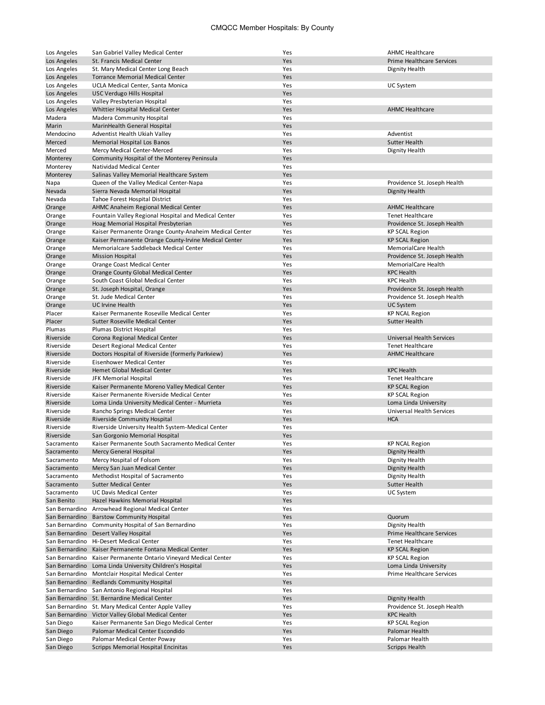## CMQCC Member Hospitals: By County

| Los Angeles              | San Gabriel Valley Medical Center                                                                | Yes        | <b>AHMC Healthcare</b>                        |
|--------------------------|--------------------------------------------------------------------------------------------------|------------|-----------------------------------------------|
| Los Angeles              | <b>St. Francis Medical Center</b>                                                                | Yes        | <b>Prime Healthcare Services</b>              |
| Los Angeles              | St. Mary Medical Center Long Beach                                                               | Yes        | Dignity Health                                |
| Los Angeles              | <b>Torrance Memorial Medical Center</b>                                                          | Yes        |                                               |
| Los Angeles              | UCLA Medical Center, Santa Monica                                                                | Yes        | UC System                                     |
| Los Angeles              | USC Verdugo Hills Hospital                                                                       | Yes        |                                               |
| Los Angeles              | Valley Presbyterian Hospital                                                                     | Yes        |                                               |
| Los Angeles              | Whittier Hospital Medical Center                                                                 | Yes        | <b>AHMC Healthcare</b>                        |
| Madera                   | Madera Community Hospital                                                                        | Yes        |                                               |
| Marin                    | MarinHealth General Hospital                                                                     | Yes<br>Yes | Adventist                                     |
| Mendocino<br>Merced      | Adventist Health Ukiah Valley<br>Memorial Hospital Los Banos                                     | Yes        | <b>Sutter Health</b>                          |
| Merced                   | Mercy Medical Center-Merced                                                                      | Yes        | Dignity Health                                |
| Monterey                 | Community Hospital of the Monterey Peninsula                                                     | Yes        |                                               |
| Monterey                 | Natividad Medical Center                                                                         | Yes        |                                               |
| Monterey                 | Salinas Valley Memorial Healthcare System                                                        | Yes        |                                               |
| Napa                     | Queen of the Valley Medical Center-Napa                                                          | Yes        | Providence St. Joseph Health                  |
| Nevada                   | Sierra Nevada Memorial Hospital                                                                  | Yes        | Dignity Health                                |
| Nevada                   | Tahoe Forest Hospital District                                                                   | Yes        |                                               |
| Orange                   | AHMC Anaheim Regional Medical Center                                                             | Yes        | <b>AHMC Healthcare</b>                        |
| Orange                   | Fountain Valley Regional Hospital and Medical Center                                             | Yes        | <b>Tenet Healthcare</b>                       |
| Orange                   | Hoag Memorial Hospital Presbyterian                                                              | Yes        | Providence St. Joseph Health                  |
| Orange                   | Kaiser Permanente Orange County-Anaheim Medical Center                                           | Yes        | <b>KP SCAL Region</b>                         |
| Orange                   | Kaiser Permanente Orange County-Irvine Medical Center                                            | Yes        | <b>KP SCAL Region</b>                         |
| Orange                   | Memorialcare Saddleback Medical Center                                                           | Yes        | MemorialCare Health                           |
| Orange                   | <b>Mission Hospital</b>                                                                          | Yes        | Providence St. Joseph Health                  |
| Orange                   | Orange Coast Medical Center                                                                      | Yes        | MemorialCare Health                           |
| Orange                   | Orange County Global Medical Center                                                              | Yes        | <b>KPC Health</b>                             |
| Orange                   | South Coast Global Medical Center                                                                | Yes        | <b>KPC Health</b>                             |
| Orange                   | St. Joseph Hospital, Orange                                                                      | Yes        | Providence St. Joseph Health                  |
| Orange                   | St. Jude Medical Center                                                                          | Yes        | Providence St. Joseph Health                  |
| Orange<br>Placer         | <b>UC Irvine Health</b><br>Kaiser Permanente Roseville Medical Center                            | Yes<br>Yes | UC System                                     |
| Placer                   | <b>Sutter Roseville Medical Center</b>                                                           | Yes        | <b>KP NCAL Region</b><br><b>Sutter Health</b> |
| Plumas                   | Plumas District Hospital                                                                         | Yes        |                                               |
| Riverside                | Corona Regional Medical Center                                                                   | Yes        | Universal Health Services                     |
| Riverside                | Desert Regional Medical Center                                                                   | Yes        | <b>Tenet Healthcare</b>                       |
| Riverside                | Doctors Hospital of Riverside (formerly Parkview)                                                | Yes        | <b>AHMC Healthcare</b>                        |
| Riverside                | Eisenhower Medical Center                                                                        | Yes        |                                               |
| Riverside                | Hemet Global Medical Center                                                                      | Yes        | <b>KPC Health</b>                             |
| Riverside                | JFK Memorial Hospital                                                                            | Yes        | <b>Tenet Healthcare</b>                       |
| Riverside                | Kaiser Permanente Moreno Valley Medical Center                                                   | Yes        | <b>KP SCAL Region</b>                         |
| Riverside                | Kaiser Permanente Riverside Medical Center                                                       | Yes        | <b>KP SCAL Region</b>                         |
| Riverside                | Loma Linda University Medical Center - Murrieta                                                  | Yes        | Loma Linda University                         |
| Riverside                | Rancho Springs Medical Center                                                                    | Yes        | <b>Universal Health Services</b>              |
| Riverside                | Riverside Community Hospital                                                                     | Yes        | <b>HCA</b>                                    |
| Riverside                | Riverside University Health System-Medical Center                                                | Yes        |                                               |
| Riverside                | San Gorgonio Memorial Hospital                                                                   | Yes        |                                               |
| Sacramento               | Kaiser Permanente South Sacramento Medical Center                                                | Yes        | <b>KP NCAL Region</b>                         |
| Sacramento<br>Sacramento | Mercy General Hospital<br>Mercy Hospital of Folsom                                               | Yes<br>Yes | Dignity Health<br>Dignity Health              |
| Sacramento               | Mercy San Juan Medical Center                                                                    | Yes        | Dignity Health                                |
| Sacramento               | Methodist Hospital of Sacramento                                                                 | Yes        | Dignity Health                                |
| Sacramento               | <b>Sutter Medical Center</b>                                                                     | Yes        | Sutter Health                                 |
| Sacramento               | <b>UC Davis Medical Center</b>                                                                   | Yes        | UC System                                     |
| San Benito               | Hazel Hawkins Memorial Hospital                                                                  | Yes        |                                               |
| San Bernardino           | Arrowhead Regional Medical Center                                                                | Yes        |                                               |
|                          | San Bernardino Barstow Community Hospital                                                        | Yes        | Quorum                                        |
|                          | San Bernardino Community Hospital of San Bernardino                                              | Yes        | Dignity Health                                |
|                          | San Bernardino Desert Valley Hospital                                                            | Yes        | <b>Prime Healthcare Services</b>              |
|                          | San Bernardino Hi-Desert Medical Center                                                          | Yes        | Tenet Healthcare                              |
|                          | San Bernardino Kaiser Permanente Fontana Medical Center                                          | Yes        | <b>KP SCAL Region</b>                         |
|                          | San Bernardino Kaiser Permanente Ontario Vineyard Medical Center                                 | Yes        | <b>KP SCAL Region</b>                         |
|                          | San Bernardino Loma Linda University Children's Hospital                                         | Yes        | Loma Linda University                         |
|                          | San Bernardino Montclair Hospital Medical Center                                                 | Yes        | Prime Healthcare Services                     |
|                          | San Bernardino Redlands Community Hospital                                                       | Yes        |                                               |
|                          | San Bernardino San Antonio Regional Hospital                                                     | Yes        |                                               |
|                          | San Bernardino St. Bernardine Medical Center                                                     | Yes        | Dignity Health                                |
|                          | San Bernardino St. Mary Medical Center Apple Valley                                              | Yes        | Providence St. Joseph Health                  |
| San Diego                | San Bernardino Victor Valley Global Medical Center<br>Kaiser Permanente San Diego Medical Center | Yes<br>Yes | <b>KPC Health</b><br><b>KP SCAL Region</b>    |
| San Diego                | Palomar Medical Center Escondido                                                                 | Yes        | Palomar Health                                |
| San Diego                | Palomar Medical Center Poway                                                                     | Yes        | Palomar Health                                |
| San Diego                | Scripps Memorial Hospital Encinitas                                                              | Yes        | Scripps Health                                |
|                          |                                                                                                  |            |                                               |